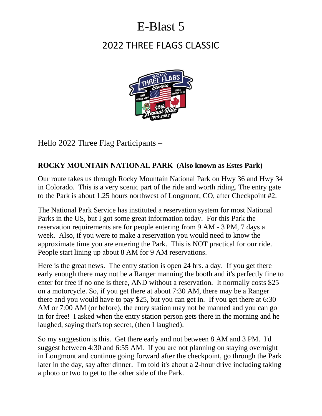# E-Blast 5

# 2022 THREE FLAGS CLASSIC



Hello 2022 Three Flag Participants –

#### **ROCKY MOUNTAIN NATIONAL PARK (Also known as Estes Park)**

Our route takes us through Rocky Mountain National Park on Hwy 36 and Hwy 34 in Colorado. This is a very scenic part of the ride and worth riding. The entry gate to the Park is about 1.25 hours northwest of Longmont, CO, after Checkpoint #2.

The National Park Service has instituted a reservation system for most National Parks in the US, but I got some great information today. For this Park the reservation requirements are for people entering from 9 AM - 3 PM, 7 days a week. Also, if you were to make a reservation you would need to know the approximate time you are entering the Park. This is NOT practical for our ride. People start lining up about 8 AM for 9 AM reservations.

Here is the great news. The entry station is open 24 hrs. a day. If you get there early enough there may not be a Ranger manning the booth and it's perfectly fine to enter for free if no one is there, AND without a reservation. It normally costs \$25 on a motorcycle. So, if you get there at about 7:30 AM, there may be a Ranger there and you would have to pay \$25, but you can get in. If you get there at 6:30 AM or 7:00 AM (or before), the entry station may not be manned and you can go in for free! I asked when the entry station person gets there in the morning and he laughed, saying that's top secret, (then I laughed).

So my suggestion is this. Get there early and not between 8 AM and 3 PM. I'd suggest between 4:30 and 6:55 AM. If you are not planning on staying overnight in Longmont and continue going forward after the checkpoint, go through the Park later in the day, say after dinner. I'm told it's about a 2-hour drive including taking a photo or two to get to the other side of the Park.